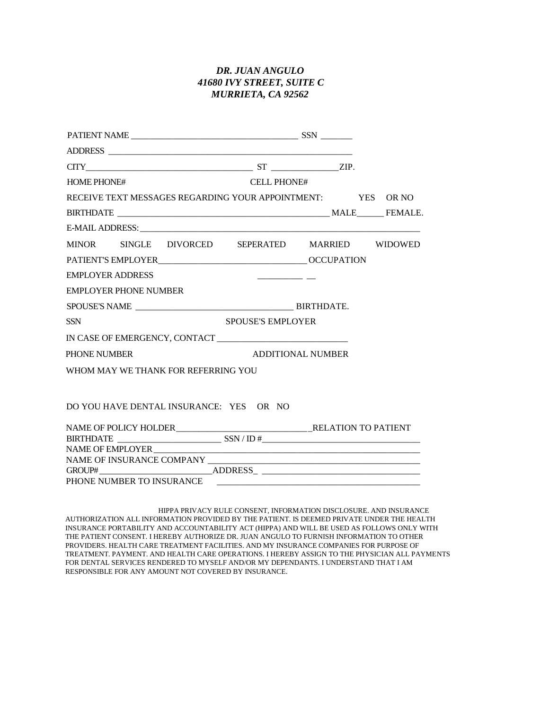# *DR. JUAN ANGULO 41680 IVY STREET, SUITE C MURRIETA, CA 92562*

| $CTTY$ ZIP.                                                 |                          |  |
|-------------------------------------------------------------|--------------------------|--|
| <b>HOME PHONE#</b>                                          | <b>CELL PHONE#</b>       |  |
| RECEIVE TEXT MESSAGES REGARDING YOUR APPOINTMENT: YES OR NO |                          |  |
|                                                             |                          |  |
|                                                             |                          |  |
| MINOR SINGLE DIVORCED SEPERATED MARRIED WIDOWED             |                          |  |
|                                                             |                          |  |
| <b>EMPLOYER ADDRESS</b>                                     |                          |  |
| <b>EMPLOYER PHONE NUMBER</b>                                |                          |  |
|                                                             |                          |  |
| <b>SSN</b>                                                  | <b>SPOUSE'S EMPLOYER</b> |  |
|                                                             |                          |  |
| PHONE NUMBER                                                | <b>ADDITIONAL NUMBER</b> |  |
| WHOM MAY WE THANK FOR REFERRING YOU                         |                          |  |
|                                                             |                          |  |
| DO YOU HAVE DENTAL INSURANCE: YES OR NO                     |                          |  |
|                                                             |                          |  |
|                                                             |                          |  |
|                                                             |                          |  |
|                                                             |                          |  |
|                                                             |                          |  |
| PHONE NUMBER TO INSURANCE                                   |                          |  |
|                                                             |                          |  |

HIPPA PRIVACY RULE CONSENT, INFORMATION DISCLOSURE. AND INSURANCE AUTHORIZATION ALL INFORMATION PROVIDED BY THE PATIENT. IS DEEMED PRIVATE UNDER THE HEALTH INSURANCE PORTABILITY AND ACCOUNTABILITY ACT (HIPPA) AND WILL BE USED AS FOLLOWS ONLY WITH THE PATIENT CONSENT. I HEREBY AUTHORIZE DR. JUAN ANGULO TO FURNISH INFORMATION TO OTHER PROVIDERS. HEALTH CARE TREATMENT FACILITIES. AND MY INSURANCE COMPANIES FOR PURPOSE OF TREATMENT. PAYMENT. AND HEALTH CARE OPERATIONS. I HEREBY ASSIGN TO THE PHYSICIAN ALL PAYMENTS FOR DENTAL SERVICES RENDERED TO MYSELF AND/OR MY DEPENDANTS. I UNDERSTAND THAT I AM RESPONSIBLE FOR ANY AMOUNT NOT COVERED BY INSURANCE.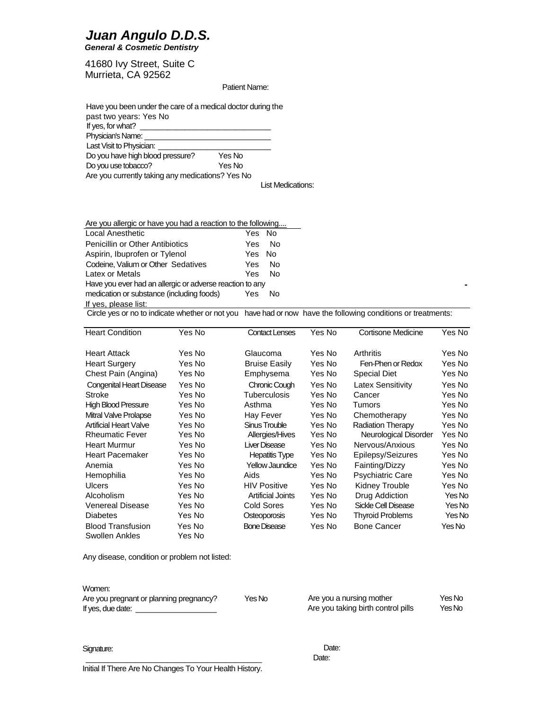# *Juan Angulo D.D.S.*

*General & Cosmetic Dentistry*

41680 Ivy Street, Suite C Murrieta, CA 92562

Patient Name:

| Have you been under the care of a medical doctor during the |        |  |
|-------------------------------------------------------------|--------|--|
| past two years: Yes No                                      |        |  |
| If yes, for what?                                           |        |  |
| Physician's Name: __                                        |        |  |
| Last Visit to Physician: _                                  |        |  |
| Do you have high blood pressure?                            | Yes No |  |
| Do you use tobacco?<br>Yes No                               |        |  |
| Are you currently taking any medications? Yes No            |        |  |

List Medications:

| Are you allergic or have you had a reaction to the following                                                                                                                                                                       |        |      |
|------------------------------------------------------------------------------------------------------------------------------------------------------------------------------------------------------------------------------------|--------|------|
| Local Anesthetic                                                                                                                                                                                                                   | Yes No |      |
| <b>Penicillin or Other Antibiotics</b>                                                                                                                                                                                             | Yes.   | - No |
| Aspirin, Ibuprofen or Tylenol                                                                                                                                                                                                      | Yes No |      |
| Codeine, Valium or Other Sedatives                                                                                                                                                                                                 | Yes.   | - No |
| Latex or Metals                                                                                                                                                                                                                    | Yes    | - No |
| Have you ever had an allergic or adverse reaction to any                                                                                                                                                                           |        |      |
| medication or substance (including foods)                                                                                                                                                                                          | Yes.   | - No |
| If yes, please list:                                                                                                                                                                                                               |        |      |
| $\bullet$ to the state in the state of the state of the state of the state of the state of the state of the state of the state of the state of the state of the state of the state of the state of the state of the state of the s |        |      |

Circle yes or no to indicate whether or not you have had or now have the following conditions or treatments:

| <b>Heart Condition</b>          | Yes No | <b>Contact Lenses</b>    | Yes No | Cortisone Medicine       | Yes No |
|---------------------------------|--------|--------------------------|--------|--------------------------|--------|
| <b>Heart Attack</b>             | Yes No | Glaucoma                 | Yes No | Arthritis                | Yes No |
| <b>Heart Surgery</b>            | Yes No | <b>Bruise Easily</b>     | Yes No | Fen-Phen or Redox        | Yes No |
| Chest Pain (Angina)             | Yes No | Emphysema                | Yes No | Special Diet             | Yes No |
| <b>Congenital Heart Disease</b> | Yes No | Chronic Cough            | Yes No | Latex Sensitivity        | Yes No |
| Stroke                          | Yes No | Tuberculosis             | Yes No | Cancer                   | Yes No |
| <b>High Blood Pressure</b>      | Yes No | Asthma                   | Yes No | Tumors                   | Yes No |
| Mitral Valve Prolapse           | Yes No | Hay Fever                | Yes No | Chemotherapy             | Yes No |
| <b>Artificial Heart Valve</b>   | Yes No | Sinus Trouble            | Yes No | <b>Radiation Therapy</b> | Yes No |
| <b>Rheumatic Fever</b>          | Yes No | Allergies/Hives          | Yes No | Neurological Disorder    | Yes No |
| <b>Heart Murmur</b>             | Yes No | Liver Disease            | Yes No | Nervous/Anxious          | Yes No |
| <b>Heart Pacemaker</b>          | Yes No | <b>Hepatitis Type</b>    | Yes No | Epilepsy/Seizures        | Yes No |
| Anemia                          | Yes No | Yellow Jaundice          | Yes No | Fainting/Dizzy           | Yes No |
| Hemophilia                      | Yes No | Aids                     | Yes No | <b>Psychiatric Care</b>  | Yes No |
| Ulcers                          | Yes No | <b>HIV Positive</b>      | Yes No | Kidney Trouble           | Yes No |
| Alcoholism                      | Yes No | <b>Artificial Joints</b> | Yes No | Drug Addiction           | Yes No |
| <b>Venereal Disease</b>         | Yes No | <b>Cold Sores</b>        | Yes No | Sickle Cell Disease      | Yes No |
| <b>Diabetes</b>                 | Yes No | Osteoporosis             | Yes No | <b>Thyroid Problems</b>  | Yes No |
| <b>Blood Transfusion</b>        | Yes No | <b>Bone Disease</b>      | Yes No | <b>Bone Cancer</b>       | Yes No |
| Swollen Ankles                  | Yes No |                          |        |                          |        |

Any disease, condition or problem not listed:

| Women:                                  |        |                                    |        |
|-----------------------------------------|--------|------------------------------------|--------|
| Are you pregnant or planning pregnancy? | Yes No | Are you a nursing mother           | Yes No |
| If yes, due date:                       |        | Are you taking birth control pills | Yes No |

Signature:

Initial If There Are No Changes To Your Health History.

\_\_\_\_\_\_\_\_\_\_\_\_\_\_\_\_\_\_\_\_\_\_\_\_\_\_\_\_\_\_\_\_\_\_\_\_\_\_\_

Date: Date: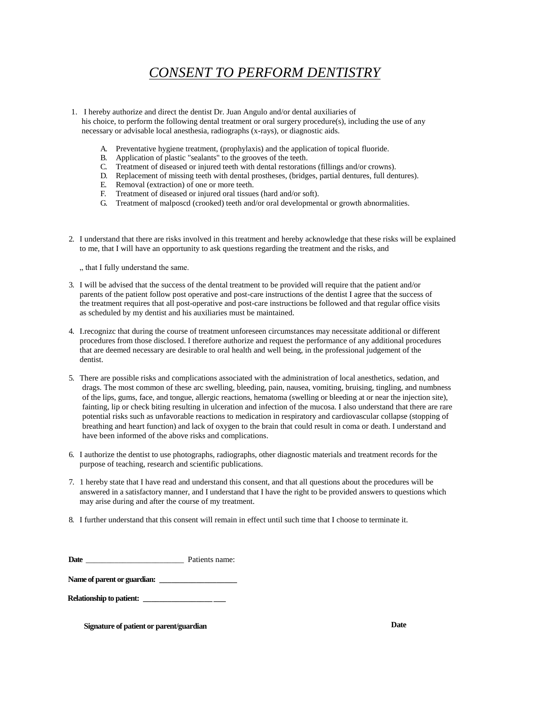# *CONSENT TO PERFORM DENTISTRY*

- 1. I hereby authorize and direct the dentist Dr. Juan Angulo and/or dental auxiliaries of his choice, to perform the following dental treatment or oral surgery procedure(s), including the use of any necessary or advisable local anesthesia, radiographs (x-rays), or diagnostic aids.
	- A. Preventative hygiene treatment, (prophylaxis) and the application of topical fluoride.
	- B. Application of plastic "sealants" to the grooves of the teeth.
	- C. Treatment of diseased or injured teeth with dental restorations (fillings and/or crowns).
	- D. Replacement of missing teeth with dental prostheses, (bridges, partial dentures, full dentures).<br>F. Removal (extraction) of one or more teeth.
	- Removal (extraction) of one or more teeth.
	- F. Treatment of diseased or injured oral tissues (hard and/or soft).
	- G. Treatment of malposcd (crooked) teeth and/or oral developmental or growth abnormalities.
- 2. I understand that there are risks involved in this treatment and hereby acknowledge that these risks will be explained to me, that I will have an opportunity to ask questions regarding the treatment and the risks, and

., that I fully understand the same.

- 3. I will be advised that the success of the dental treatment to be provided will require that the patient and/or parents of the patient follow post operative and post-care instructions of the dentist I agree that the success of the treatment requires that all post-operative and post-care instructions be followed and that regular office visits as scheduled by my dentist and his auxiliaries must be maintained.
- 4. I.recognizc that during the course of treatment unforeseen circumstances may necessitate additional or different procedures from those disclosed. I therefore authorize and request the performance of any additional procedures that are deemed necessary are desirable to oral health and well being, in the professional judgement of the dentist.
- 5. There are possible risks and complications associated with the administration of local anesthetics, sedation, and drags. The most common of these arc swelling, bleeding, pain, nausea, vomiting, bruising, tingling, and numbness of the lips, gums, face, and tongue, allergic reactions, hematoma (swelling or bleeding at or near the injection site), fainting, lip or check biting resulting in ulceration and infection of the mucosa. I also understand that there are rare potential risks such as unfavorable reactions to medication in respiratory and cardiovascular collapse (stopping of breathing and heart function) and lack of oxygen to the brain that could result in coma or death. I understand and have been informed of the above risks and complications.
- 6. I authorize the dentist to use photographs, radiographs, other diagnostic materials and treatment records for the purpose of teaching, research and scientific publications.
- 7. 1 hereby state that I have read and understand this consent, and that all questions about the procedures will be answered in a satisfactory manner, and I understand that I have the right to be provided answers to questions which may arise during and after the course of my treatment.
- 8. I further understand that this consent will remain in effect until such time that I choose to terminate it.

| <b>Date</b> |  | Patients name: |
|-------------|--|----------------|
|-------------|--|----------------|

Name of parent or guardian:

**Relationship to patient: \_\_\_\_\_\_\_\_\_\_\_\_\_\_\_\_\_ \_\_\_**

**Signature of patient or parent/guardian Date**